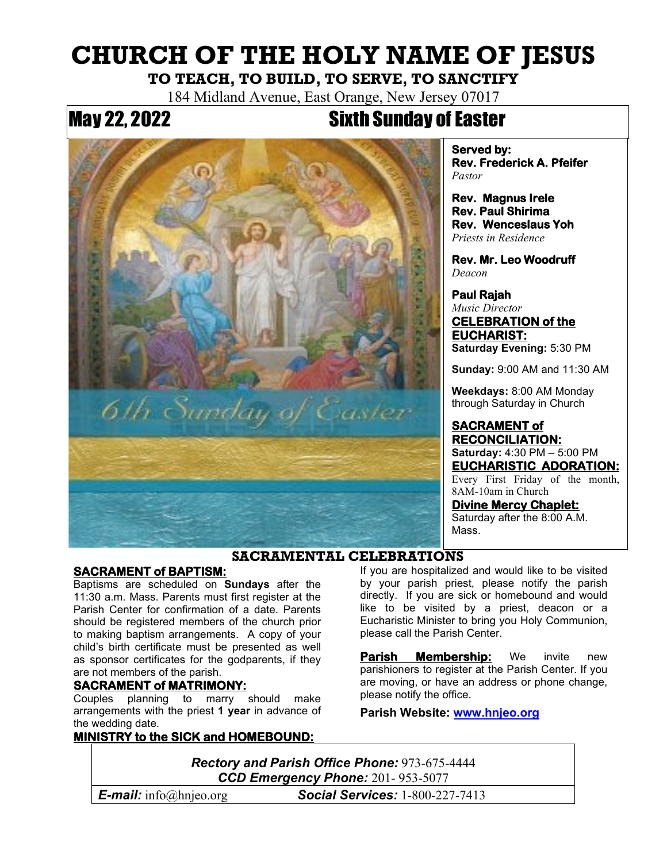# **CHURCH OF THE HOLY NAME OF JESUS**

## **TO TEACH, TO BUILD, TO SERVE, TO SANCTIFY**

184 Midland Avenue, East Orange, New Jersey 07017

## May 22, 2022 Sixth Sunday of Easter



**Served by: Rev. Frederick A. Pfeifer**  *Pastor*

**Rev. Magnus Irele Rev. Paul Shirima Rev. Wenceslaus Yoh**  *Priests in Residence*

**Rev. Mr. Leo Woodruff**  *Deacon*

**Paul Rajah**  *Music Director* **CELEBRATION of the EUCHARIST: Saturday Evening:** 5:30 PM

**Sunday:** 9:00 AM and 11:30 AM

**Weekdays:** 8:00 AM Monday through Saturday in Church

#### **SACRAMENT of RECONCILIATION: Saturday:** 4:30 PM – 5:00 PM **EUCHARISTIC ADORATION:**

Every First Friday of the month, 8AM-10am in Church

**Divine Mercy Chaplet:** Saturday after the 8:00 A.M. Mass.

### **SACRAMENTAL CELEBRATIONS**

#### **SACRAMENT of BAPTISM:**

Baptisms are scheduled on **Sundays** after the 11:30 a.m. Mass. Parents must first register at the Parish Center for confirmation of a date. Parents should be registered members of the church prior to making baptism arrangements. A copy of your child's birth certificate must be presented as well as sponsor certificates for the godparents, if they are not members of the parish.

#### **SACRAMENT of MATRIMONY:**

Couples planning to marry should make arrangements with the priest **1 year** in advance of the wedding date.

#### **MINISTRY to the SICK and HOMEBOUND:**

If you are hospitalized and would like to be visited by your parish priest, please notify the parish directly. If you are sick or homebound and would like to be visited by a priest, deacon or a Eucharistic Minister to bring you Holy Communion, please call the Parish Center.

**Parish Membership:** We invite new parishioners to register at the Parish Center. If you are moving, or have an address or phone change, please notify the office.

**Parish Website: [www.hnjeo.org](http://www.hnjeo.org/)**

*Rectory and Parish Office Phone:* 973-675-4444 *CCD Emergency Phone:* 201- 953-5077

*E-mail:* info@hnjeo.org\* *Social Services:* 1-800-227-7413